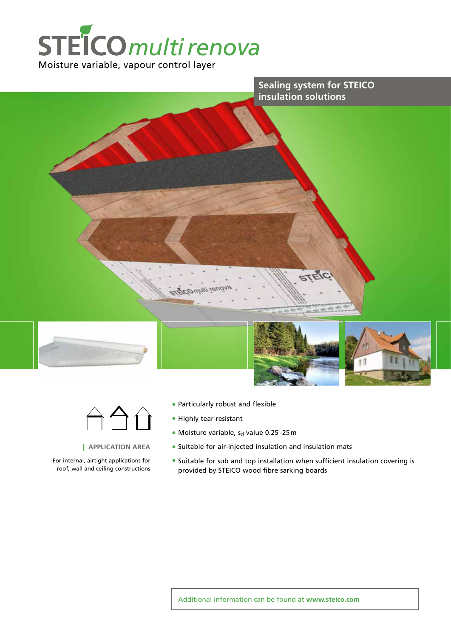





#### **| APPLICATION AREA**

For internal, airtight applications for roof, wall and ceiling constructions

- Particularly robust and flexible
- Highly tear-resistant
- Moisture variable,  $s_d$  value 0.25 25 m
- Suitable for air-injected insulation and insulation mats
- Suitable for sub and top installation when sufficient insulation covering is provided by STEICO wood fibre sarking boards